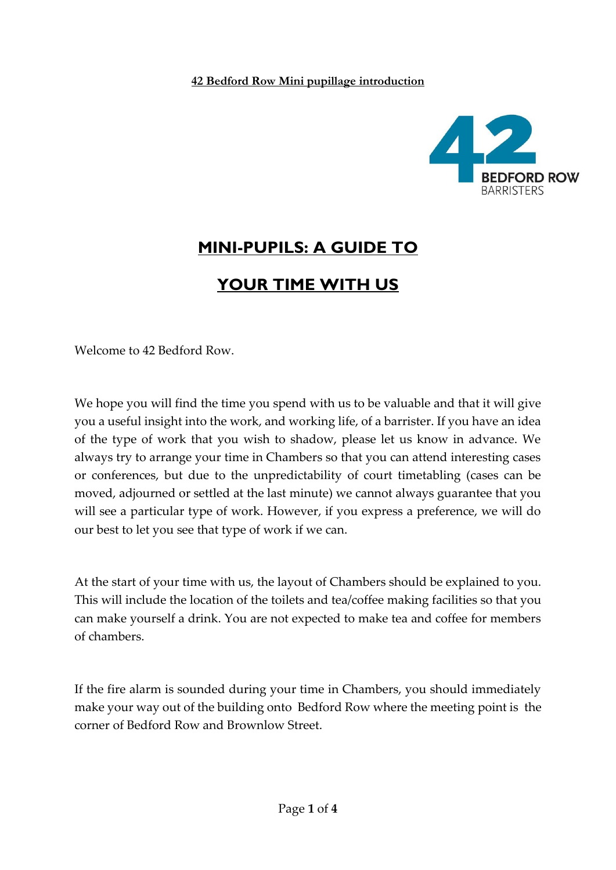#### **42 Bedford Row Mini pupillage introduction**



# **MINI-PUPILS: A GUIDE TO**

## **YOUR TIME WITH US**

Welcome to 42 Bedford Row.

We hope you will find the time you spend with us to be valuable and that it will give you a useful insight into the work, and working life, of a barrister. If you have an idea of the type of work that you wish to shadow, please let us know in advance. We always try to arrange your time in Chambers so that you can attend interesting cases or conferences, but due to the unpredictability of court timetabling (cases can be moved, adjourned or settled at the last minute) we cannot always guarantee that you will see a particular type of work. However, if you express a preference, we will do our best to let you see that type of work if we can.

At the start of your time with us, the layout of Chambers should be explained to you. This will include the location of the toilets and tea/coffee making facilities so that you can make yourself a drink. You are not expected to make tea and coffee for members of chambers.

If the fire alarm is sounded during your time in Chambers, you should immediately make your way out of the building onto Bedford Row where the meeting point is the corner of Bedford Row and Brownlow Street.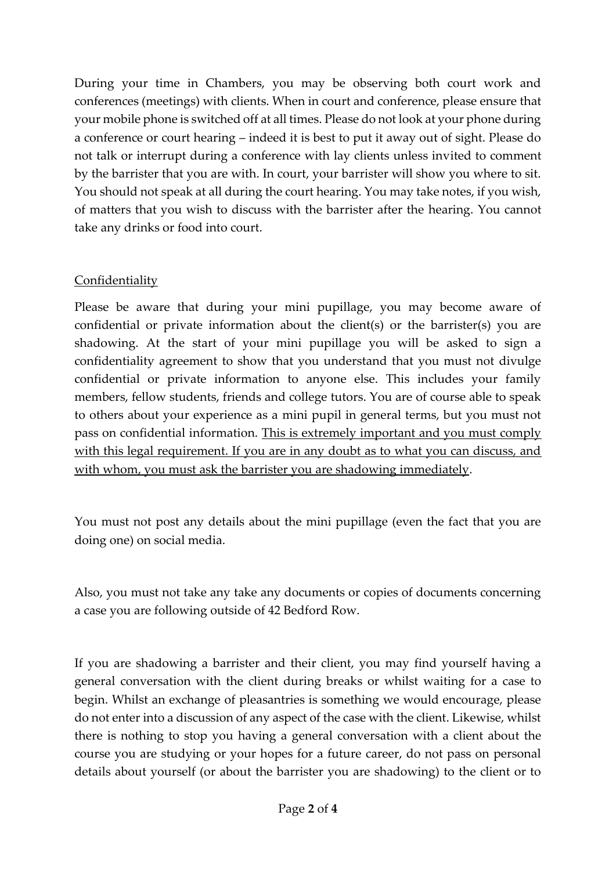During your time in Chambers, you may be observing both court work and conferences (meetings) with clients. When in court and conference, please ensure that your mobile phone is switched off at all times. Please do not look at your phone during a conference or court hearing – indeed it is best to put it away out of sight. Please do not talk or interrupt during a conference with lay clients unless invited to comment by the barrister that you are with. In court, your barrister will show you where to sit. You should not speak at all during the court hearing. You may take notes, if you wish, of matters that you wish to discuss with the barrister after the hearing. You cannot take any drinks or food into court.

### **Confidentiality**

Please be aware that during your mini pupillage, you may become aware of confidential or private information about the client(s) or the barrister(s) you are shadowing. At the start of your mini pupillage you will be asked to sign a confidentiality agreement to show that you understand that you must not divulge confidential or private information to anyone else. This includes your family members, fellow students, friends and college tutors. You are of course able to speak to others about your experience as a mini pupil in general terms, but you must not pass on confidential information. This is extremely important and you must comply with this legal requirement. If you are in any doubt as to what you can discuss, and with whom, you must ask the barrister you are shadowing immediately.

You must not post any details about the mini pupillage (even the fact that you are doing one) on social media.

Also, you must not take any take any documents or copies of documents concerning a case you are following outside of 42 Bedford Row.

If you are shadowing a barrister and their client, you may find yourself having a general conversation with the client during breaks or whilst waiting for a case to begin. Whilst an exchange of pleasantries is something we would encourage, please do not enter into a discussion of any aspect of the case with the client. Likewise, whilst there is nothing to stop you having a general conversation with a client about the course you are studying or your hopes for a future career, do not pass on personal details about yourself (or about the barrister you are shadowing) to the client or to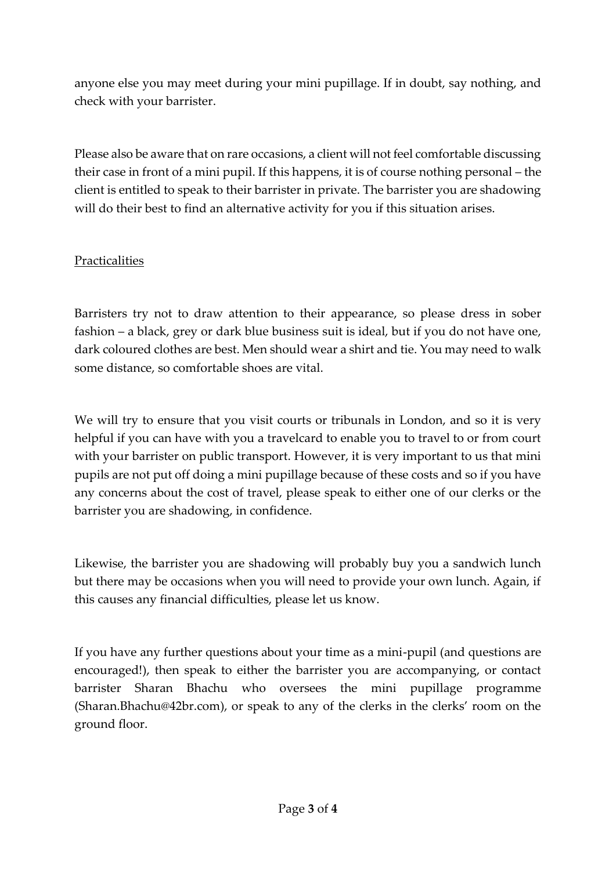anyone else you may meet during your mini pupillage. If in doubt, say nothing, and check with your barrister.

Please also be aware that on rare occasions, a client will not feel comfortable discussing their case in front of a mini pupil. If this happens, it is of course nothing personal – the client is entitled to speak to their barrister in private. The barrister you are shadowing will do their best to find an alternative activity for you if this situation arises.

### **Practicalities**

Barristers try not to draw attention to their appearance, so please dress in sober fashion – a black, grey or dark blue business suit is ideal, but if you do not have one, dark coloured clothes are best. Men should wear a shirt and tie. You may need to walk some distance, so comfortable shoes are vital.

We will try to ensure that you visit courts or tribunals in London, and so it is very helpful if you can have with you a travelcard to enable you to travel to or from court with your barrister on public transport. However, it is very important to us that mini pupils are not put off doing a mini pupillage because of these costs and so if you have any concerns about the cost of travel, please speak to either one of our clerks or the barrister you are shadowing, in confidence.

Likewise, the barrister you are shadowing will probably buy you a sandwich lunch but there may be occasions when you will need to provide your own lunch. Again, if this causes any financial difficulties, please let us know.

If you have any further questions about your time as a mini-pupil (and questions are encouraged!), then speak to either the barrister you are accompanying, or contact barrister Sharan Bhachu who oversees the mini pupillage programme (Sharan.Bhachu@42br.com), or speak to any of the clerks in the clerks' room on the ground floor.